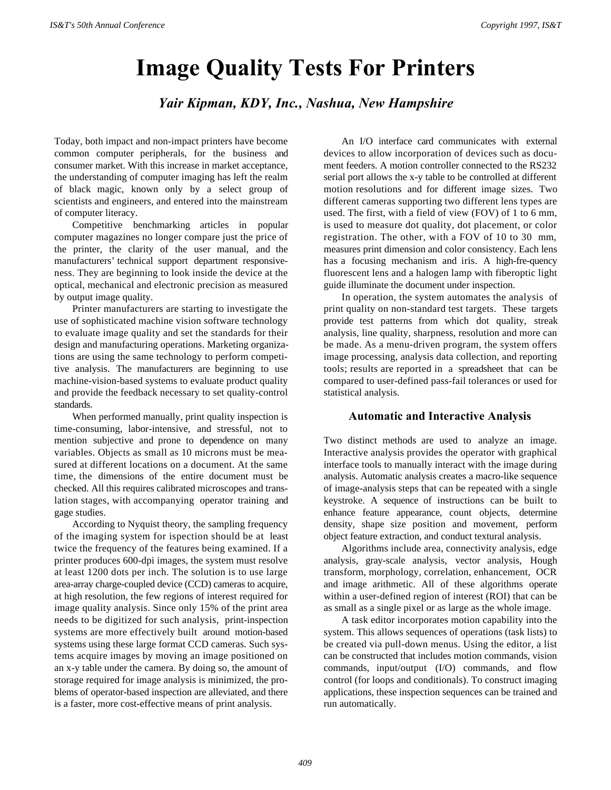# **Image Quality Tests For Printers**

# *Yair Kipman, KDY, Inc., Nashua, New Hampshire*

Today, both impact and non-impact printers have become common computer peripherals, for the business and consumer market. With this increase in market acceptance, the understanding of computer imaging has left the realm of black magic, known only by a select group of scientists and engineers, and entered into the mainstream of computer literacy.

Competitive benchmarking articles in popular computer magazines no longer compare just the price of the printer, the clarity of the user manual, and the manufacturers' technical support department responsiveness. They are beginning to look inside the device at the optical, mechanical and electronic precision as measured by output image quality.

Printer manufacturers are starting to investigate the use of sophisticated machine vision software technology to evaluate image quality and set the standards for their design and manufacturing operations. Marketing organizations are using the same technology to perform competitive analysis. The manufacturers are beginning to use machine-vision-based systems to evaluate product quality and provide the feedback necessary to set quality-control standards.

When performed manually, print quality inspection is time-consuming, labor-intensive, and stressful, not to mention subjective and prone to dependence on many variables. Objects as small as 10 microns must be measured at different locations on a document. At the same time, the dimensions of the entire document must be checked. All this requires calibrated microscopes and translation stages, with accompanying operator training and gage studies.

According to Nyquist theory, the sampling frequency of the imaging system for ispection should be at least twice the frequency of the features being examined. If a printer produces 600-dpi images, the system must resolve at least 1200 dots per inch. The solution is to use large area-array charge-coupled device (CCD) cameras to acquire, at high resolution, the few regions of interest required for image quality analysis. Since only 15% of the print area needs to be digitized for such analysis, print-inspection systems are more effectively built around motion-based systems using these large format CCD cameras. Such systems acquire images by moving an image positioned on an x-y table under the camera. By doing so, the amount of storage required for image analysis is minimized, the problems of operator-based inspection are alleviated, and there is a faster, more cost-effective means of print analysis.

An I/O interface card communicates with external devices to allow incorporation of devices such as document feeders. A motion controller connected to the RS232 serial port allows the x-y table to be controlled at different motion resolutions and for different image sizes. Two different cameras supporting two different lens types are used. The first, with a field of view (FOV) of 1 to 6 mm, is used to measure dot quality, dot placement, or color registration. The other, with a FOV of 10 to 30 mm, measures print dimension and color consistency. Each lens has a focusing mechanism and iris. A high-fre-quency fluorescent lens and a halogen lamp with fiberoptic light guide illuminate the document under inspection.

In operation, the system automates the analysis of print quality on non-standard test targets. These targets provide test patterns from which dot quality, streak analysis, line quality, sharpness, resolution and more can be made. As a menu-driven program, the system offers image processing, analysis data collection, and reporting tools; results are reported in a spreadsheet that can be compared to user-defined pass-fail tolerances or used for statistical analysis.

#### **Automatic and Interactive Analysis**

Two distinct methods are used to analyze an image. Interactive analysis provides the operator with graphical interface tools to manually interact with the image during analysis. Automatic analysis creates a macro-like sequence of image-analysis steps that can be repeated with a single keystroke. A sequence of instructions can be built to enhance feature appearance, count objects, determine density, shape size position and movement, perform object feature extraction, and conduct textural analysis.

Algorithms include area, connectivity analysis, edge analysis, gray-scale analysis, vector analysis, Hough transform, morphology, correlation, enhancement, OCR and image arithmetic. All of these algorithms operate within a user-defined region of interest (ROI) that can be as small as a single pixel or as large as the whole image.

A task editor incorporates motion capability into the system. This allows sequences of operations (task lists) to be created via pull-down menus. Using the editor, a list can be constructed that includes motion commands, vision commands, input/output (I/O) commands, and flow control (for loops and conditionals). To construct imaging applications, these inspection sequences can be trained and run automatically.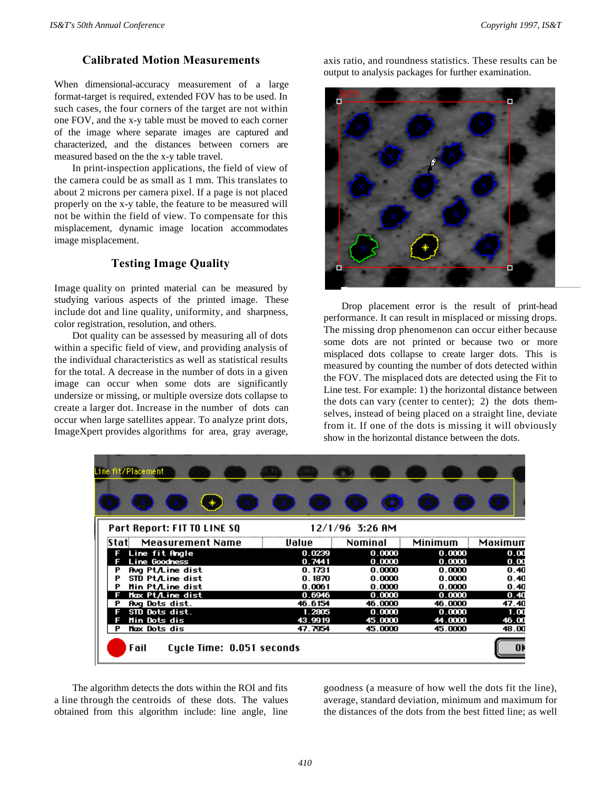## **Calibrated Motion Measurements**

When dimensional-accuracy measurement of a large format-target is required, extended FOV has to be used. In such cases, the four corners of the target are not within one FOV, and the x-y table must be moved to each corner of the image where separate images are captured and characterized, and the distances between corners are measured based on the the x-y table travel.

In print-inspection applications, the field of view of the camera could be as small as 1 mm. This translates to about 2 microns per camera pixel. If a page is not placed properly on the x-y table, the feature to be measured will not be within the field of view. To compensate for this misplacement, dynamic image location accommodates image misplacement.

## **Testing Image Quality**

Image quality on printed material can be measured by studying various aspects of the printed image. These include dot and line quality, uniformity, and sharpness, color registration, resolution, and others.

Dot quality can be assessed by measuring all of dots within a specific field of view, and providing analysis of the individual characteristics as well as statistical results for the total. A decrease in the number of dots in a given image can occur when some dots are significantly undersize or missing, or multiple oversize dots collapse to create a larger dot. Increase in the number of dots can occur when large satellites appear. To analyze print dots, ImageXpert provides algorithms for area, gray average, axis ratio, and roundness statistics. These results can be output to analysis packages for further examination.



Drop placement error is the result of print-head performance. It can result in misplaced or missing drops. The missing drop phenomenon can occur either because some dots are not printed or because two or more misplaced dots collapse to create larger dots. This is measured by counting the number of dots detected within the FOV. The misplaced dots are detected using the Fit to Line test. For example: 1) the horizontal distance between the dots can vary (center to center); 2) the dots themselves, instead of being placed on a straight line, deviate from it. If one of the dots is missing it will obviously show in the horizontal distance between the dots.

| Line fit/Placement                |         |                 |         |         |
|-----------------------------------|---------|-----------------|---------|---------|
|                                   |         |                 |         |         |
| Part Report: FIT TO LINE SQ       |         | 12/1/96 3:26 AM |         |         |
| Measurement Name<br>stat          | Value   | Nominal         | Minimum | Maximum |
| Line fit Angle                    | 0.0239  | 0.0000          | 0.0000  | 0.00    |
| <b>Line Goodness</b>              | 0.7441  | 0.0000          | 0.0000  | 0.00    |
| Avg Pt/Line dist<br>Р             | 0.1731  | 0.0000          | 0.0000  | 0.40    |
| STD Pt/Line dist<br>Р             | 0.1870  | 0.0000          | 0.0000  | 0.40    |
| <b>Hin Pt/Line dist</b>           | 0.0061  | 0.0000          | 0.0000  | 0.40    |
| <b>Nox Pt/Line dist</b>           | 0.6946  | 0.0000          | 0.0000  | 0.40    |
| Ava Dots dist.                    | 46.6154 | 46.0000         | 46.0000 | 47.40   |
| STD Dots dist.                    | 1.2805  | 0.0000          | 0.0000  | 1.00    |
| Hin Dots dis                      | 43.9919 | 45.0000         | 44.0000 | 46.00   |
| <b>Nox Dots dis</b>               | 47.7954 | 45.0000         | 45.0000 | 48.00   |
| Cycle Time: 0.051 seconds<br>Fail |         |                 |         |         |

The algorithm detects the dots within the ROI and fits a line through the centroids of these dots. The values obtained from this algorithm include: line angle, line

goodness (a measure of how well the dots fit the line), average, standard deviation, minimum and maximum for the distances of the dots from the best fitted line; as well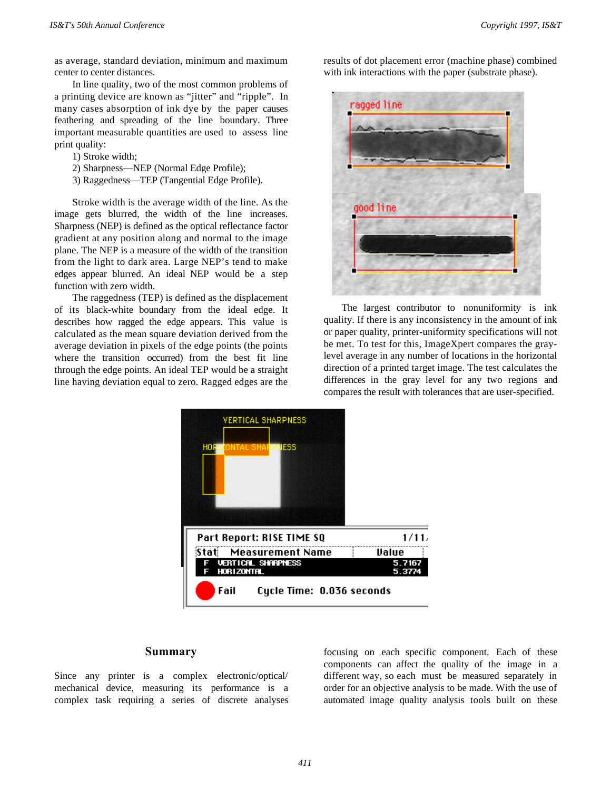as average, standard deviation, minimum and maximum center to center distances.

In line quality, two of the most common problems of a printing device are known as "jitter" and "ripple". In many cases absorption of ink dye by the paper causes feathering and spreading of the line boundary. Three important measurable quantities are used to assess line print quality:

1) Stroke width;

- 2) Sharpness—NEP (Normal Edge Profile);
- 3) Raggedness—TEP (Tangential Edge Profile).

Stroke width is the average width of the line. As the image gets blurred, the width of the line increases. Sharpness (NEP) is defined as the optical reflectance factor gradient at any position along and normal to the image plane. The NEP is a measure of the width of the transition from the light to dark area. Large NEP's tend to make edges appear blurred. An ideal NEP would be a step function with zero width.

The raggedness (TEP) is defined as the displacement of its black-white boundary from the ideal edge. It describes how ragged the edge appears. This value is calculated as the mean square deviation derived from the average deviation in pixels of the edge points (the points where the transition occurred) from the best fit line through the edge points. An ideal TEP would be a straight line having deviation equal to zero. Ragged edges are the results of dot placement error (machine phase) combined with ink interactions with the paper (substrate phase).



The largest contributor to nonuniformity is ink quality. If there is any inconsistency in the amount of ink or paper quality, printer-uniformity specifications will not be met. To test for this, ImageXpert compares the graylevel average in any number of locations in the horizontal direction of a printed target image. The test calculates the differences in the gray level for any two regions and compares the result with tolerances that are user-specified.



#### **Summary**

Since any printer is a complex electronic/optical/ mechanical device, measuring its performance is a complex task requiring a series of discrete analyses focusing on each specific component. Each of these components can affect the quality of the image in a different way, so each must be measured separately in order for an objective analysis to be made. With the use of automated image quality analysis tools built on these